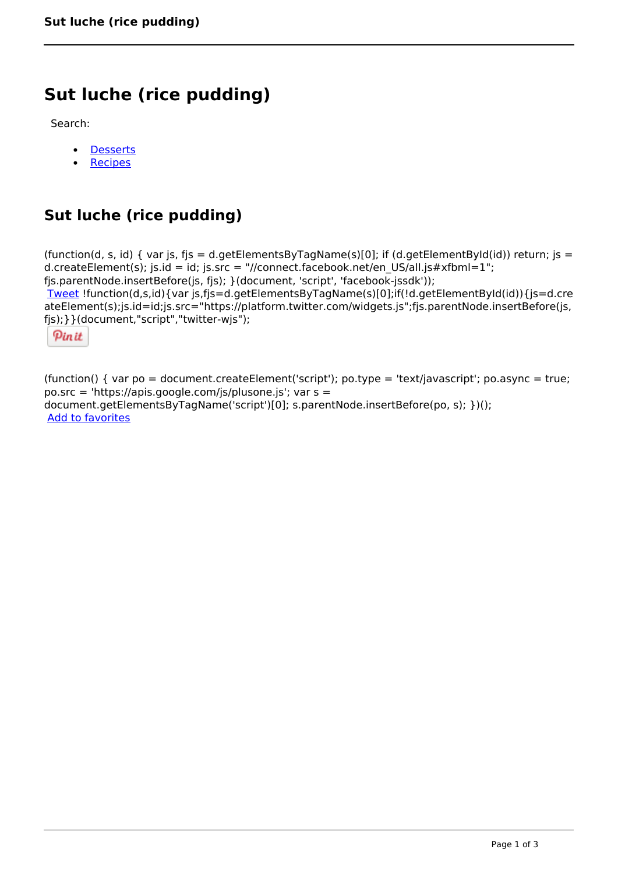# **Sut luche (rice pudding)**

Search:

- **[Desserts](https://www.naturalhealthmag.com.au/nourish/desserts)**  $\bullet$
- **[Recipes](https://www.naturalhealthmag.com.au/nourish/recipes)**

# **Sut luche (rice pudding)**

(function(d, s, id) { var js, fjs = d.getElementsByTagName(s)[0]; if (d.getElementById(id)) return; js = d.createElement(s); js.id = id; js.src = "//connect.facebook.net/en\_US/all.js#xfbml=1"; fjs.parentNode.insertBefore(js, fjs); }(document, 'script', 'facebook-jssdk')); [Tweet](https://twitter.com/share) !function(d,s,id){var js,fjs=d.getElementsByTagName(s)[0];if(!d.getElementById(id)){js=d.cre ateElement(s);js.id=id;js.src="https://platform.twitter.com/widgets.js";fjs.parentNode.insertBefore(js, fjs);}}(document,"script","twitter-wjs");

Pinit

(function() { var po = document.createElement('script'); po.type = 'text/javascript'; po.async = true; po.src = 'https://apis.google.com/js/plusone.js'; var s = document.getElementsByTagName('script')[0]; s.parentNode.insertBefore(po, s); })(); Add to favorites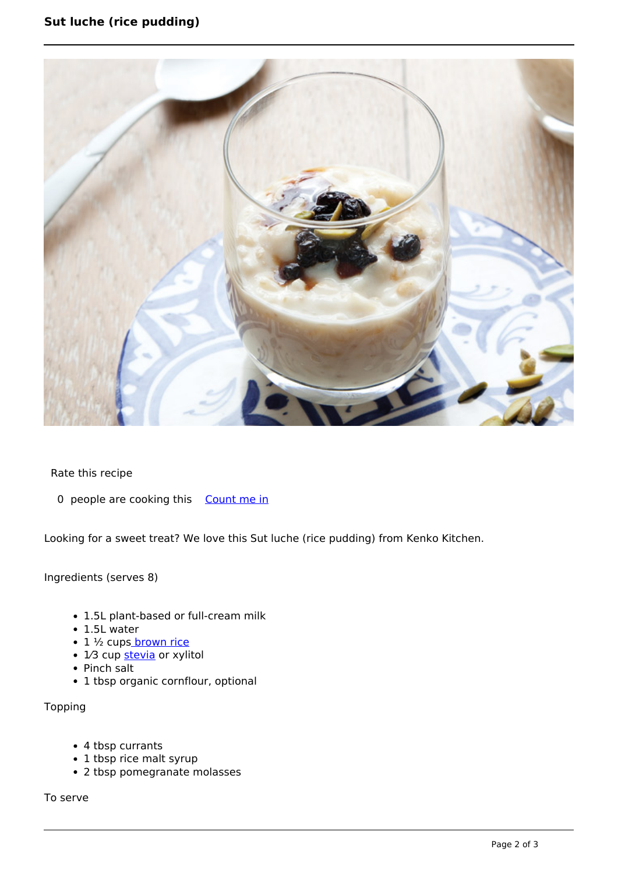## **Sut luche (rice pudding)**



Rate this recipe

0 people are cooking this [Count me in](https://www.naturalhealthmag.com.au/flag/flag/favorites/1495?destination=printpdf%2F1495&token=2001415ae46b5f9b87ae5c812bcd829a)

Looking for a sweet treat? We love this Sut luche (rice pudding) from Kenko Kitchen.

Ingredients (serves 8)

- 1.5L plant-based or full-cream milk
- 1.5L water
- 1 ½ cup[s brown rice](http://www.naturalhealthmag.com.au/nourish/brown-rice-and-vegetable-congee)
- $\bullet$  1/3 cup [stevia](http://www.naturalhealthmag.com.au/search/node?theme=nourish&keys=stevia) or xylitol
- Pinch salt
- 1 tbsp organic cornflour, optional

Topping

- 4 tbsp currants
- 1 tbsp rice malt syrup
- 2 tbsp pomegranate molasses

To serve